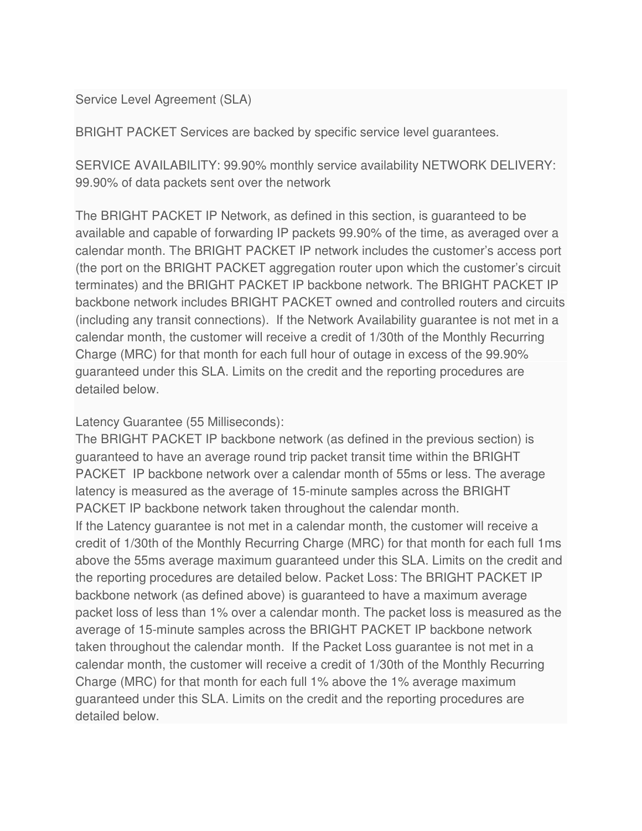Service Level Agreement (SLA)

BRIGHT PACKET Services are backed by specific service level guarantees.

SERVICE AVAILABILITY: 99.90% monthly service availability NETWORK DELIVERY: 99.90% of data packets sent over the network

The BRIGHT PACKET IP Network, as defined in this section, is guaranteed to be available and capable of forwarding IP packets 99.90% of the time, as averaged over a calendar month. The BRIGHT PACKET IP network includes the customer's access port (the port on the BRIGHT PACKET aggregation router upon which the customer's circuit terminates) and the BRIGHT PACKET IP backbone network. The BRIGHT PACKET IP backbone network includes BRIGHT PACKET owned and controlled routers and circuits (including any transit connections). If the Network Availability guarantee is not met in a calendar month, the customer will receive a credit of 1/30th of the Monthly Recurring Charge (MRC) for that month for each full hour of outage in excess of the 99.90% guaranteed under this SLA. Limits on the credit and the reporting procedures are detailed below.

Latency Guarantee (55 Milliseconds):

The BRIGHT PACKET IP backbone network (as defined in the previous section) is guaranteed to have an average round trip packet transit time within the BRIGHT PACKET IP backbone network over a calendar month of 55ms or less. The average latency is measured as the average of 15-minute samples across the BRIGHT PACKET IP backbone network taken throughout the calendar month. If the Latency guarantee is not met in a calendar month, the customer will receive a credit of 1/30th of the Monthly Recurring Charge (MRC) for that month for each full 1ms above the 55ms average maximum guaranteed under this SLA. Limits on the credit and the reporting procedures are detailed below. Packet Loss: The BRIGHT PACKET IP backbone network (as defined above) is guaranteed to have a maximum average packet loss of less than 1% over a calendar month. The packet loss is measured as the average of 15-minute samples across the BRIGHT PACKET IP backbone network taken throughout the calendar month. If the Packet Loss guarantee is not met in a calendar month, the customer will receive a credit of 1/30th of the Monthly Recurring Charge (MRC) for that month for each full 1% above the 1% average maximum guaranteed under this SLA. Limits on the credit and the reporting procedures are detailed below.